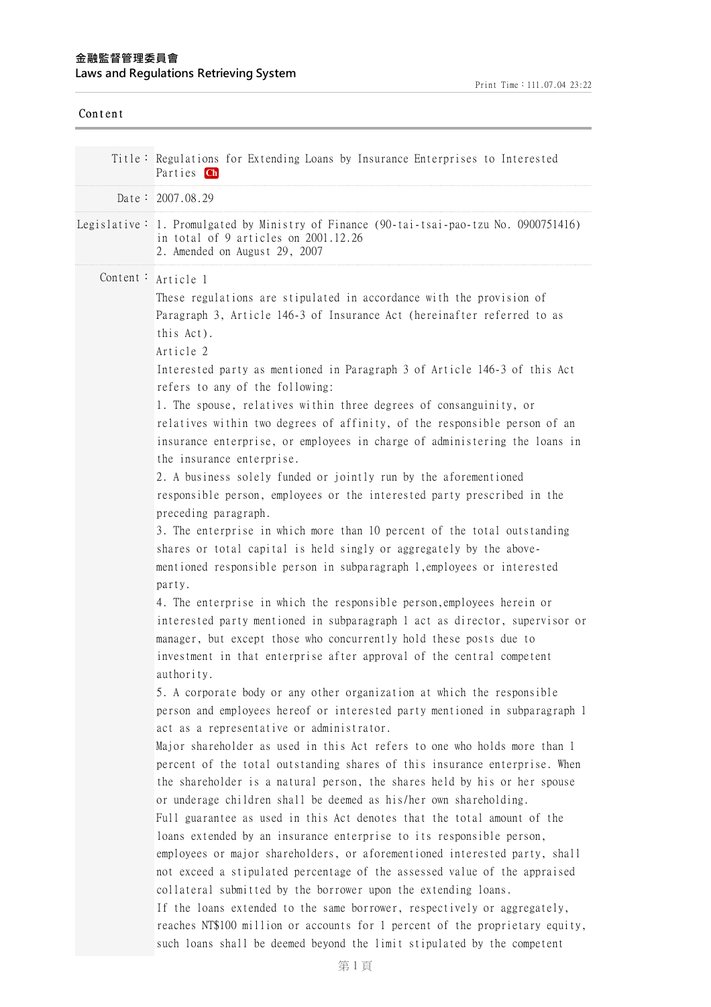## **⾦融監督管理委員會 Laws and Regulations Retrieving System**

| Content |                                                                                                                                                                                                                                                                                                                                                                                                                                                                                                                                                                                                                                                                                                                                                                                                                                                                                                                                                                                                                                                                                                                                                      |
|---------|------------------------------------------------------------------------------------------------------------------------------------------------------------------------------------------------------------------------------------------------------------------------------------------------------------------------------------------------------------------------------------------------------------------------------------------------------------------------------------------------------------------------------------------------------------------------------------------------------------------------------------------------------------------------------------------------------------------------------------------------------------------------------------------------------------------------------------------------------------------------------------------------------------------------------------------------------------------------------------------------------------------------------------------------------------------------------------------------------------------------------------------------------|
|         | Title: Regulations for Extending Loans by Insurance Enterprises to Interested<br>Parties Ch                                                                                                                                                                                                                                                                                                                                                                                                                                                                                                                                                                                                                                                                                                                                                                                                                                                                                                                                                                                                                                                          |
|         | Date: 2007.08.29                                                                                                                                                                                                                                                                                                                                                                                                                                                                                                                                                                                                                                                                                                                                                                                                                                                                                                                                                                                                                                                                                                                                     |
|         | Legislative: 1. Promulgated by Ministry of Finance (90-tai-tsai-pao-tzu No. 0900751416)<br>in total of 9 articles on 2001.12.26<br>2. Amended on August 29, 2007                                                                                                                                                                                                                                                                                                                                                                                                                                                                                                                                                                                                                                                                                                                                                                                                                                                                                                                                                                                     |
|         | Content: Article 1<br>These regulations are stipulated in accordance with the provision of<br>Paragraph 3, Article 146-3 of Insurance Act (hereinafter referred to as<br>this Act).<br>Article 2                                                                                                                                                                                                                                                                                                                                                                                                                                                                                                                                                                                                                                                                                                                                                                                                                                                                                                                                                     |
|         | Interested party as mentioned in Paragraph 3 of Article 146-3 of this Act<br>refers to any of the following:<br>1. The spouse, relatives within three degrees of consanguinity, or<br>relatives within two degrees of affinity, of the responsible person of an<br>insurance enterprise, or employees in charge of administering the loans in<br>the insurance enterprise.<br>2. A business solely funded or jointly run by the aforementioned<br>responsible person, employees or the interested party prescribed in the<br>preceding paragraph.<br>3. The enterprise in which more than 10 percent of the total outstanding<br>shares or total capital is held singly or aggregately by the above-<br>mentioned responsible person in subparagraph 1, employees or interested<br>party.<br>4. The enterprise in which the responsible person, employees herein or<br>interested party mentioned in subparagraph 1 act as director, supervisor or<br>manager, but except those who concurrently hold these posts due to<br>investment in that enterprise after approval of the central competent                                                    |
|         | authority.<br>5. A corporate body or any other organization at which the responsible<br>person and employees hereof or interested party mentioned in subparagraph 1<br>act as a representative or administrator.<br>Major shareholder as used in this Act refers to one who holds more than 1<br>percent of the total outstanding shares of this insurance enterprise. When<br>the shareholder is a natural person, the shares held by his or her spouse<br>or underage children shall be deemed as his/her own shareholding.<br>Full guarantee as used in this Act denotes that the total amount of the<br>loans extended by an insurance enterprise to its responsible person,<br>employees or major shareholders, or aforementioned interested party, shall<br>not exceed a stipulated percentage of the assessed value of the appraised<br>collateral submitted by the borrower upon the extending loans.<br>If the loans extended to the same borrower, respectively or aggregately,<br>reaches NT\$100 million or accounts for 1 percent of the proprietary equity,<br>such loans shall be deemed beyond the limit stipulated by the competent |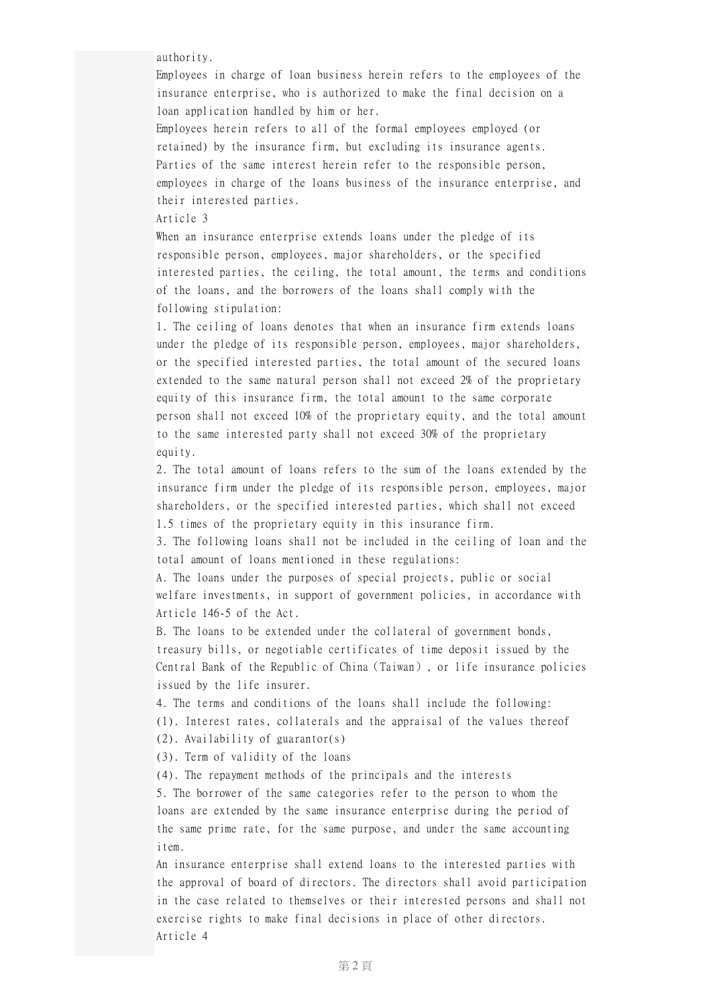authority.

Employees in charge of loan business herein refers to the employees of the insurance enterprise, who is authorized to make the final decision on a loan application handled by him or her.

Employees herein refers to all of the formal employees employed (or retained) by the insurance firm, but excluding its insurance agents. Parties of the same interest herein refer to the responsible person, employees in charge of the loans business of the insurance enterprise, and their interested parties.

Article 3

When an insurance enterprise extends loans under the pledge of its responsible person, employees, major shareholders, or the specified interested parties, the ceiling, the total amount, the terms and conditions of the loans, and the borrowers of the loans shall comply with the following stipulation:

1. The ceiling of loans denotes that when an insurance firm extends loans under the pledge of its responsible person, employees, major shareholders, or the specified interested parties, the total amount of the secured loans extended to the same natural person shall not exceed 2% of the proprietary equity of this insurance firm, the total amount to the same corporate person shall not exceed 10% of the proprietary equity, and the total amount to the same interested party shall not exceed 30% of the proprietary equity.

2. The total amount of loans refers to the sum of the loans extended by the insurance firm under the pledge of its responsible person, employees, major shareholders, or the specified interested parties, which shall not exceed 1.5 times of the proprietary equity in this insurance firm.

3. The following loans shall not be included in the ceiling of loan and the total amount of loans mentioned in these regulations:

A. The loans under the purposes of special projects, public or social welfare investments, in support of government policies, in accordance with Article 146-5 of the Act.

B. The loans to be extended under the collateral of government bonds, treasury bills, or negotiable certificates of time deposit issued by the Central Bank of the Republic of China(Taiwan), or life insurance policies issued by the life insurer.

4. The terms and conditions of the loans shall include the following:

(1). Interest rates, collaterals and the appraisal of the values thereof

(2). Availability of guarantor(s)

(3). Term of validity of the loans

(4). The repayment methods of the principals and the interests

5. The borrower of the same categories refer to the person to whom the loans are extended by the same insurance enterprise during the period of the same prime rate, for the same purpose, and under the same accounting item.

An insurance enterprise shall extend loans to the interested parties with the approval of board of directors. The directors shall avoid participation in the case related to themselves or their interested persons and shall not exercise rights to make final decisions in place of other directors. Article 4